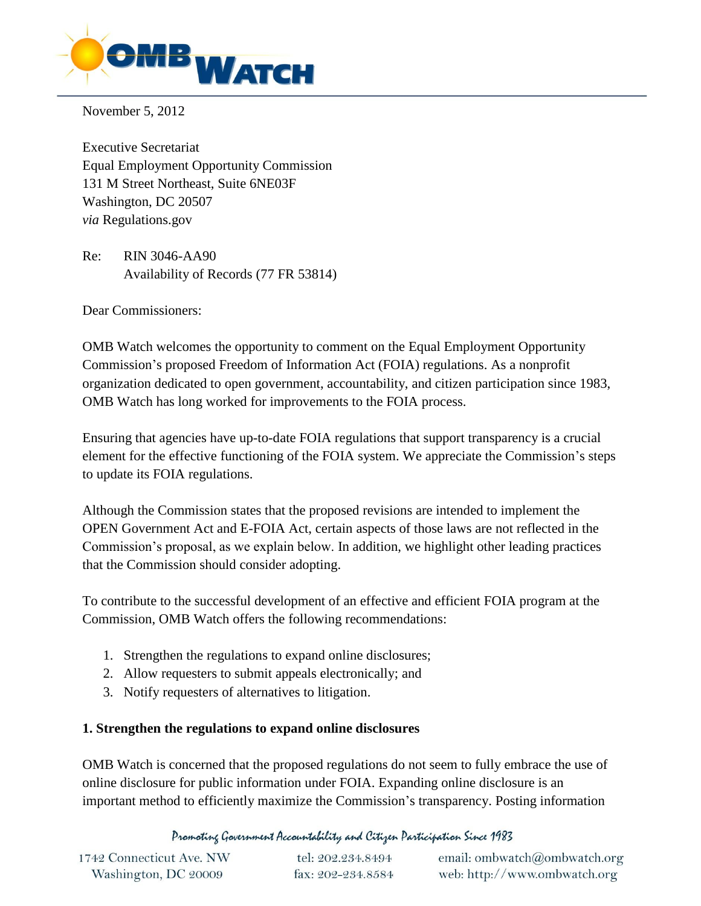

November 5, 2012

Executive Secretariat Equal Employment Opportunity Commission 131 M Street Northeast, Suite 6NE03F Washington, DC 20507 *via* Regulations.gov

Re: RIN 3046-AA90 Availability of Records (77 FR 53814)

Dear Commissioners:

OMB Watch welcomes the opportunity to comment on the Equal Employment Opportunity Commission's proposed Freedom of Information Act (FOIA) regulations. As a nonprofit organization dedicated to open government, accountability, and citizen participation since 1983, OMB Watch has long worked for improvements to the FOIA process.

Ensuring that agencies have up-to-date FOIA regulations that support transparency is a crucial element for the effective functioning of the FOIA system. We appreciate the Commission's steps to update its FOIA regulations.

Although the Commission states that the proposed revisions are intended to implement the OPEN Government Act and E-FOIA Act, certain aspects of those laws are not reflected in the Commission's proposal, as we explain below. In addition, we highlight other leading practices that the Commission should consider adopting.

To contribute to the successful development of an effective and efficient FOIA program at the Commission, OMB Watch offers the following recommendations:

- 1. Strengthen the regulations to expand online disclosures;
- 2. Allow requesters to submit appeals electronically; and
- 3. Notify requesters of alternatives to litigation.

#### **1. Strengthen the regulations to expand online disclosures**

OMB Watch is concerned that the proposed regulations do not seem to fully embrace the use of online disclosure for public information under FOIA. Expanding online disclosure is an important method to efficiently maximize the Commission's transparency. Posting information

Promoting Government Accountability and Citizen Participation Since 1983

| 1742 Connecticut Ave. NW | tel: 202.234.8494 | email: ombwatch@ombwatch.org |
|--------------------------|-------------------|------------------------------|
| Washington, DC 20009     | fax: 202-234.8584 | web: http://www.ombwatch.org |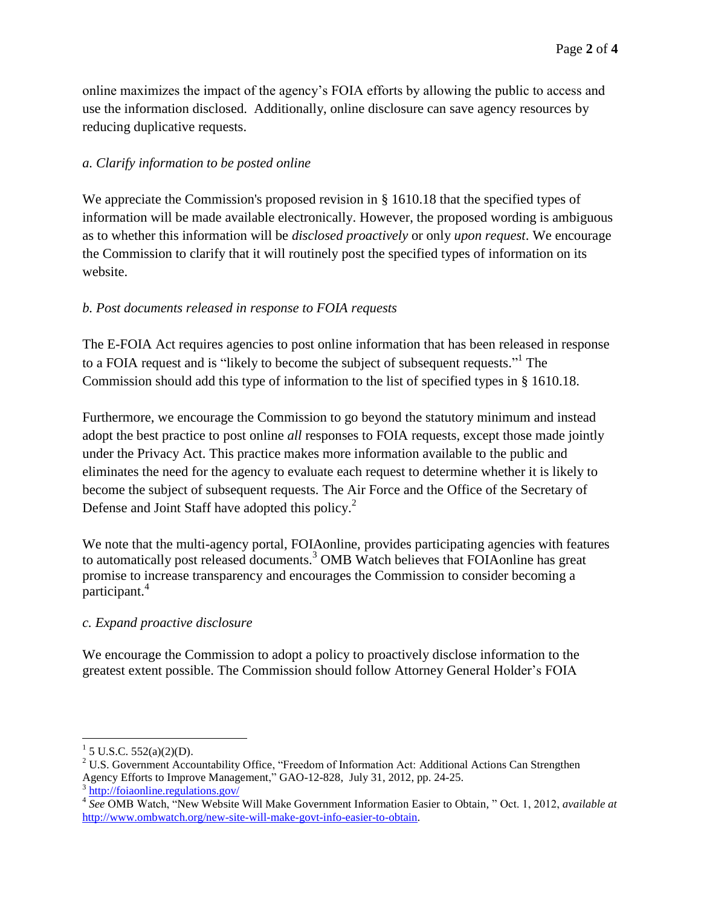online maximizes the impact of the agency's FOIA efforts by allowing the public to access and use the information disclosed. Additionally, online disclosure can save agency resources by reducing duplicative requests.

# *a. Clarify information to be posted online*

We appreciate the Commission's proposed revision in § 1610.18 that the specified types of information will be made available electronically. However, the proposed wording is ambiguous as to whether this information will be *disclosed proactively* or only *upon request*. We encourage the Commission to clarify that it will routinely post the specified types of information on its website.

# *b. Post documents released in response to FOIA requests*

The E-FOIA Act requires agencies to post online information that has been released in response to a FOIA request and is "likely to become the subject of subsequent requests."<sup>1</sup> The Commission should add this type of information to the list of specified types in § 1610.18.

Furthermore, we encourage the Commission to go beyond the statutory minimum and instead adopt the best practice to post online *all* responses to FOIA requests, except those made jointly under the Privacy Act. This practice makes more information available to the public and eliminates the need for the agency to evaluate each request to determine whether it is likely to become the subject of subsequent requests. The Air Force and the Office of the Secretary of Defense and Joint Staff have adopted this policy.<sup>2</sup>

We note that the multi-agency portal, FOIAonline, provides participating agencies with features to automatically post released documents. <sup>3</sup> OMB Watch believes that FOIAonline has great promise to increase transparency and encourages the Commission to consider becoming a participant.<sup>4</sup>

# *c. Expand proactive disclosure*

We encourage the Commission to adopt a policy to proactively disclose information to the greatest extent possible. The Commission should follow Attorney General Holder's FOIA

 $\overline{a}$ 

 $1$  5 U.S.C. 552(a)(2)(D).

<sup>&</sup>lt;sup>2</sup> U.S. Government Accountability Office, "Freedom of Information Act: Additional Actions Can Strengthen Agency Efforts to Improve Management," GAO-12-828, July 31, 2012, pp. 24-25. 3 <http://foiaonline.regulations.gov/>

<sup>4</sup> *See* OMB Watch, "New Website Will Make Government Information Easier to Obtain, " Oct. 1, 2012, *available at*  [http://www.ombwatch.org/new-site-will-make-govt-info-easier-to-obtain.](http://www.ombwatch.org/new-site-will-make-govt-info-easier-to-obtain)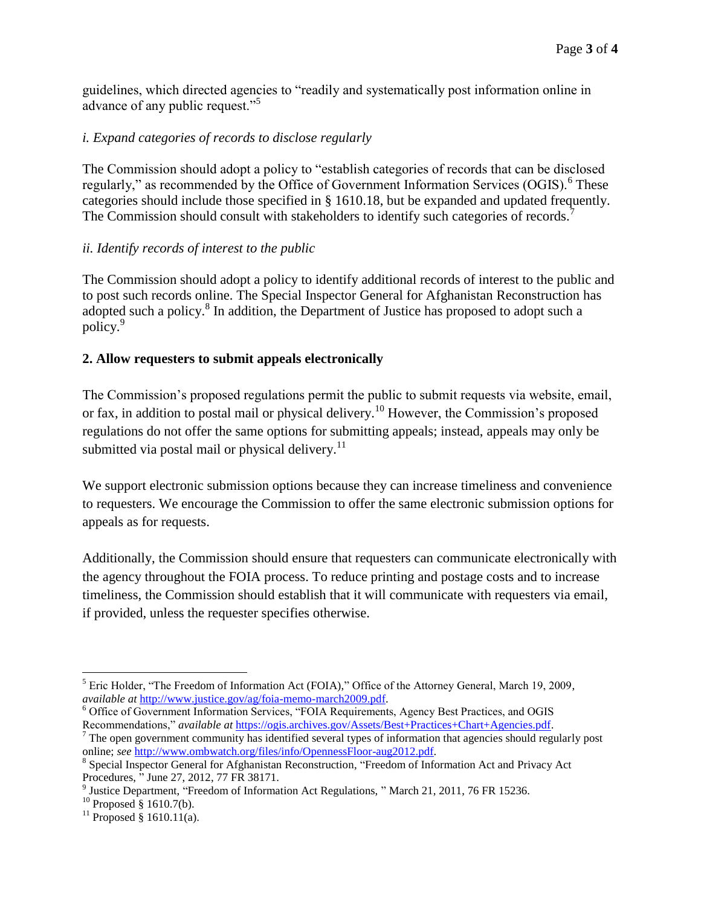guidelines, which directed agencies to "readily and systematically post information online in advance of any public request."<sup>5</sup>

### *i. Expand categories of records to disclose regularly*

The Commission should adopt a policy to "establish categories of records that can be disclosed regularly," as recommended by the Office of Government Information Services (OGIS).<sup>6</sup> These categories should include those specified in § 1610.18, but be expanded and updated frequently. The Commission should consult with stakeholders to identify such categories of records.<sup>7</sup>

#### *ii. Identify records of interest to the public*

The Commission should adopt a policy to identify additional records of interest to the public and to post such records online. The Special Inspector General for Afghanistan Reconstruction has adopted such a policy.<sup>8</sup> In addition, the Department of Justice has proposed to adopt such a policy.<sup>9</sup>

#### **2. Allow requesters to submit appeals electronically**

The Commission's proposed regulations permit the public to submit requests via website, email, or fax, in addition to postal mail or physical delivery.<sup>10</sup> However, the Commission's proposed regulations do not offer the same options for submitting appeals; instead, appeals may only be submitted via postal mail or physical delivery. $^{11}$ 

We support electronic submission options because they can increase timeliness and convenience to requesters. We encourage the Commission to offer the same electronic submission options for appeals as for requests.

Additionally, the Commission should ensure that requesters can communicate electronically with the agency throughout the FOIA process. To reduce printing and postage costs and to increase timeliness, the Commission should establish that it will communicate with requesters via email, if provided, unless the requester specifies otherwise.

 $\overline{a}$ <sup>5</sup> Eric Holder, "The Freedom of Information Act (FOIA)," Office of the Attorney General, March 19, 2009, *available at* [http://www.justice.gov/ag/foia-memo-march2009.pdf.](http://www.justice.gov/ag/foia-memo-march2009.pdf)

<sup>6</sup> Office of Government Information Services, "FOIA Requirements, Agency Best Practices, and OGIS Recommendations," *available at* [https://ogis.archives.gov/Assets/Best+Practices+Chart+Agencies.pdf.](https://ogis.archives.gov/Assets/Best+Practices+Chart+Agencies.pdf)

 $<sup>7</sup>$  The open government community has identified several types of information that agencies should regularly post</sup> online; *see* [http://www.ombwatch.org/files/info/OpennessFloor-aug2012.pdf.](http://www.ombwatch.org/files/info/OpennessFloor-aug2012.pdf)

<sup>&</sup>lt;sup>8</sup> Special Inspector General for Afghanistan Reconstruction, "Freedom of Information Act and Privacy Act Procedures, " June 27, 2012, 77 FR 38171.

<sup>&</sup>lt;sup>9</sup> Justice Department, "Freedom of Information Act Regulations, " March 21, 2011, 76 FR 15236.

 $10$  Proposed § 1610.7(b).

 $^{11}$  Proposed § 1610.11(a).